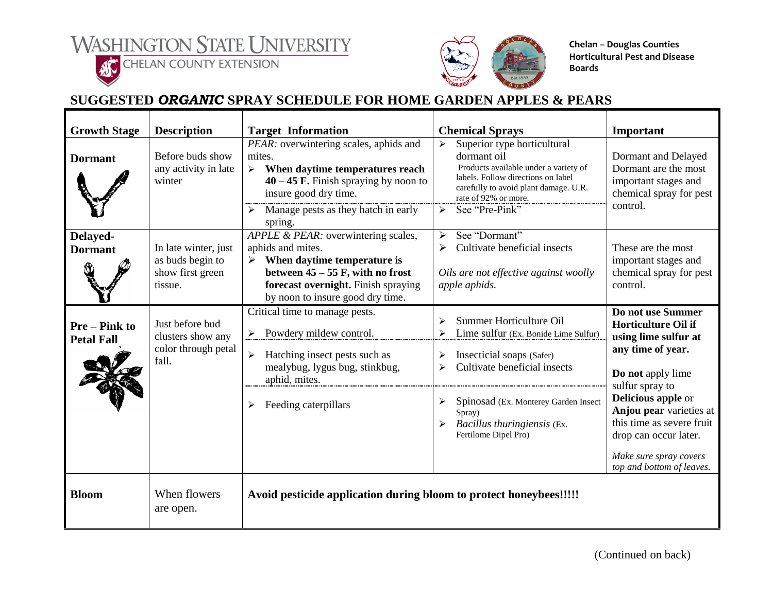



**ACCHELAN COUNTY EXTENSION** 



**Chelan – Douglas Counties Horticultural Pest and Disease Boards**

## **SUGGESTED** *ORGANIC* **SPRAY SCHEDULE FOR HOME GARDEN APPLES & PEARS**

| <b>Growth Stage</b>                     | <b>Description</b>                                                      | <b>Target Information</b>                                                                                                                                                                                                                      | <b>Chemical Sprays</b>                                                                                                                                                                                                                                              | Important                                                                                                                                                                                                                                                                                                 |
|-----------------------------------------|-------------------------------------------------------------------------|------------------------------------------------------------------------------------------------------------------------------------------------------------------------------------------------------------------------------------------------|---------------------------------------------------------------------------------------------------------------------------------------------------------------------------------------------------------------------------------------------------------------------|-----------------------------------------------------------------------------------------------------------------------------------------------------------------------------------------------------------------------------------------------------------------------------------------------------------|
| <b>Dormant</b>                          | Before buds show<br>any activity in late<br>winter                      | PEAR: overwintering scales, aphids and<br>mites.<br>When daytime temperatures reach<br>$\triangleright$<br>$40 - 45$ F. Finish spraying by noon to<br>insure good dry time.<br>$\triangleright$ Manage pests as they hatch in early<br>spring. | Superior type horticultural<br>$\blacktriangleright$<br>dormant oil<br>Products available under a variety of<br>labels. Follow directions on label<br>carefully to avoid plant damage. U.R.<br>rate of 92% or more.<br>See "Pre-Pink"<br>$\blacktriangleright$      | Dormant and Delayed<br>Dormant are the most<br>important stages and<br>chemical spray for pest<br>control.                                                                                                                                                                                                |
| Delayed-<br><b>Dormant</b>              | In late winter, just<br>as buds begin to<br>show first green<br>tissue. | APPLE & PEAR: overwintering scales,<br>aphids and mites.<br>$\triangleright$ When daytime temperature is<br>between $45 - 55$ F, with no frost<br>forecast overnight. Finish spraying<br>by noon to insure good dry time.                      | See "Dormant"<br>➤<br>Cultivate beneficial insects<br>➤<br>Oils are not effective against woolly<br>apple aphids.                                                                                                                                                   | These are the most<br>important stages and<br>chemical spray for pest<br>control.                                                                                                                                                                                                                         |
| <b>Pre-Pink to</b><br><b>Petal Fall</b> | Just before bud<br>clusters show any<br>color through petal<br>fall.    | Critical time to manage pests.<br>$\triangleright$ Powdery mildew control.<br>Hatching insect pests such as<br>$\blacktriangleright$<br>mealybug, lygus bug, stinkbug,<br>aphid, mites.<br>Feeding caterpillars                                | Summer Horticulture Oil<br>Lime sulfur (Ex. Bonide Lime Sulfur)<br>Insecticial soaps (Safer)<br>Cultivate beneficial insects<br>$\blacktriangleright$<br>Spinosad (Ex. Monterey Garden Insect<br>➤<br>Spray)<br>Bacillus thuringiensis (Ex.<br>Fertilome Dipel Pro) | Do not use Summer<br><b>Horticulture Oil if</b><br>using lime sulfur at<br>any time of year.<br>Do not apply lime<br>sulfur spray to<br><b>Delicious apple or</b><br>Anjou pear varieties at<br>this time as severe fruit<br>drop can occur later.<br>Make sure spray covers<br>top and bottom of leaves. |
| <b>Bloom</b>                            | When flowers<br>are open.                                               | Avoid pesticide application during bloom to protect honeybees!!!!!                                                                                                                                                                             |                                                                                                                                                                                                                                                                     |                                                                                                                                                                                                                                                                                                           |